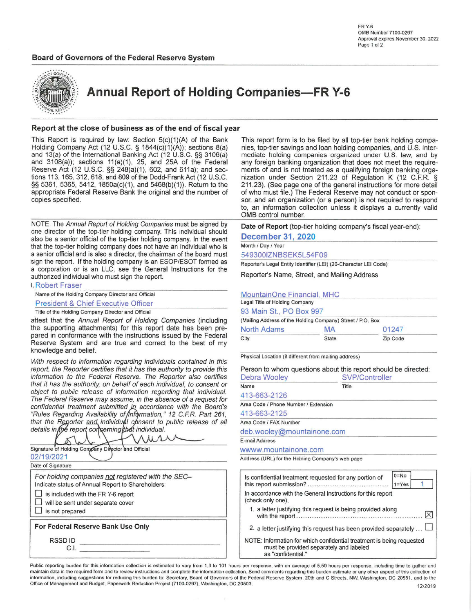# Board of Governors of the Federal Reserve System



**Annual Report of Holding Companies-FR Y-6** 

# Report at the close of business as of the end of fiscal year

This Report is required by law: Section 5(c)(1)(A) of the Bank Holding Company Act (12 U.S.C. § 1844(c)(1)(A)); sections 8(a) and 13(a) of the International Banking Act (12 U.S.C. §§ 3106(a) and 3108(a)); sections 11(a)(1), 25, and 25A of the Federal Reserve Act (12 U.S.C. §§ 248(a)(1), 602, and 611a); and sections 113, 165, 312, 618, and 809 of the Dodd-Frank Act (12 U.S.C. §§ 5361, 5365, 5412, 1850a(c)(1), and 5468(b)(1)). Return to the appropriate Federal Reserve Bank the original and the number of copies specified.

NOTE: The Annual Report of Holding Companies must be signed by one director of the top-tier holding company. This individual should also be a senior official of the top-tier holding company. In the event that the top-tier holding company does not have an individual who is a senior official and is also a director, the chairman of the board must sign the report. If the holding company is an ESOP/ESOT formed as a corporation or is an LLC, see the General Instructions for the authorized individual who must sign the report.

| Name of the Holding Company Director and Official |
|---------------------------------------------------|
| <b>President &amp; Chief Executive Officer</b>    |

attest that the Annual Report of Holding Companies (including the supporting attachments) for this report date has been prepared in conformance with the instructions issued by the Federal Reserve System and are true and correct to the best of my knowledge and belief.

With respect to information regarding individuals contained in this report, the Reporter certifies that it has the authority to provide this information to the Federal Reserve. The Reporter also certifies that it has the authority, on behalf of each individual, to consent or object to public release of information regarding that individual. The Federal Reserve may assume, in the absence of a request for confidential treatment submitted in accordance with the Board's<br>"Rules Regarding Availability of Information," 12 C.F.R. Part 261, that the Reporter and individual consent to public release of all details in the report correming that individual.

| Signature of Holding Company Director and Official                                                                                                                                                    |  |
|-------------------------------------------------------------------------------------------------------------------------------------------------------------------------------------------------------|--|
| 02/19/2021<br>Date of Signature                                                                                                                                                                       |  |
| For holding companies not registered with the SEC-<br>Indicate status of Annual Report to Shareholders:<br>is included with the FR Y-6 report<br>will be sent under separate cover<br>is not prepared |  |
| For Federal Reserve Bank Use Only<br>RSSD ID                                                                                                                                                          |  |

This report form is to be filed by all top-tier bank holding companies, top-tier savings and loan holding companies, and U.S. intermediate holding companies organized under U.S. law, and by any foreign banking organization that does not meet the requirements of and is not treated as a qualifying foreign banking organization under Section 211.23 of Regulation K (12 C.F.R. § 211.23). (See page one of the general instructions for more detail of who must file.) The Federal Reserve may not conduct or sponsor, and an organization (or a person) is not required to respond to, an information collection unless it displays a currently valid OMB control number.

Date of Report (top-tier holding company's fiscal year-end):

| <b>December 31, 2020</b> |  |  |
|--------------------------|--|--|
| Month / Day / Year       |  |  |

549300IZNBSEK5L54F09

Reporter's Legal Entity Identifier (LEI) (20-Character LEI Code)

Reporter's Name, Street, and Mailing Address

| MountainOne Financial, MHC                                 |    |       |  |  |  |  |  |
|------------------------------------------------------------|----|-------|--|--|--|--|--|
| Legal Title of Holding Company                             |    |       |  |  |  |  |  |
| 93 Main St., PO Box 997                                    |    |       |  |  |  |  |  |
| (Mailing Address of the Holding Company) Street / P.O. Box |    |       |  |  |  |  |  |
| North Adams                                                | MA | 01247 |  |  |  |  |  |
| City<br><b>State</b><br>Zip Code                           |    |       |  |  |  |  |  |

|  |  |  |  |                                                                                                                 | and the contract of the contract of the contract of the contract of the contract of |  |
|--|--|--|--|-----------------------------------------------------------------------------------------------------------------|-------------------------------------------------------------------------------------|--|
|  |  |  |  | the contract of the contract of the contract of the contract of the contract of the contract of the contract of |                                                                                     |  |

Physical Location (if different from mailing address)

| Person to whom questions about this report should be directed:<br>Debra Wooley | SVP/Controller |          |  |  |
|--------------------------------------------------------------------------------|----------------|----------|--|--|
| Name                                                                           | Title          |          |  |  |
| 413-663-2126                                                                   |                |          |  |  |
| Area Code / Phone Number / Extension                                           |                |          |  |  |
| 413-663-2125                                                                   |                |          |  |  |
| Area Code / FAX Number                                                         |                |          |  |  |
| deb.wooley@mountainone.com                                                     |                |          |  |  |
| E-mail Address                                                                 |                |          |  |  |
| wwww.mountainone.com                                                           |                |          |  |  |
| Address (URL) for the Holding Company's web page                               |                |          |  |  |
| Is confidential treatment requested for any portion of                         |                | $0 = No$ |  |  |

| Is confidential treatment requested for any portion of                                                                                 | v-ivv<br>$1 = Yes$ |
|----------------------------------------------------------------------------------------------------------------------------------------|--------------------|
| In accordance with the General Instructions for this report<br>(check only one).                                                       |                    |
| 1. a letter justifying this request is being provided along                                                                            |                    |
| 2. a letter justifying this request has been provided separately                                                                       |                    |
| NOTE: Information for which confidential treatment is being requested<br>must be provided separately and labeled<br>as "confidential." |                    |

Public reporting burden for this information collection is estimated to vary from 1.3 to 101 hours per response, with an average of 5.50 hours per response, including time to gather and maintain data in the required form and to review instructions and complete the information collection. Send comments regarding this burden estimate or any other aspect of this collection of information, including suggestions for reducing this burden to: Secretary, Board of Governors of the Federal Reserve System, 20th and C Streets, NW, Washington, DC 20551, and to the Office of Management and Budget, Paperwork Reduction Project (7100-0297), Washington, DC 20503. 12/2019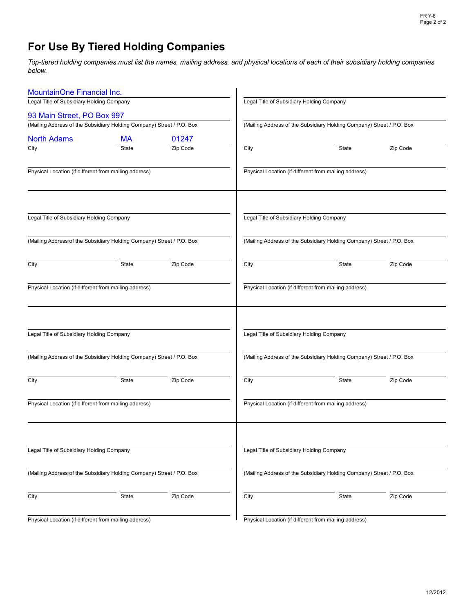# **For Use By Tiered Holding Companies**

Top-tiered holding companies must list the names, mailing address, and physical locations of each of their subsidiary holding companies below.

| MountainOne Financial Inc.                                            |              |          |                                                                       |                                                                       |          |  |  |  |  |
|-----------------------------------------------------------------------|--------------|----------|-----------------------------------------------------------------------|-----------------------------------------------------------------------|----------|--|--|--|--|
| Legal Title of Subsidiary Holding Company                             |              |          |                                                                       | Legal Title of Subsidiary Holding Company                             |          |  |  |  |  |
| 93 Main Street, PO Box 997                                            |              |          |                                                                       |                                                                       |          |  |  |  |  |
| (Mailing Address of the Subsidiary Holding Company) Street / P.O. Box |              |          | (Mailing Address of the Subsidiary Holding Company) Street / P.O. Box |                                                                       |          |  |  |  |  |
| <b>North Adams</b>                                                    | <b>MA</b>    | 01247    |                                                                       |                                                                       |          |  |  |  |  |
| City                                                                  | State        | Zip Code | City                                                                  | State                                                                 | Zip Code |  |  |  |  |
| Physical Location (if different from mailing address)                 |              |          |                                                                       | Physical Location (if different from mailing address)                 |          |  |  |  |  |
| Legal Title of Subsidiary Holding Company                             |              |          |                                                                       | Legal Title of Subsidiary Holding Company                             |          |  |  |  |  |
| (Mailing Address of the Subsidiary Holding Company) Street / P.O. Box |              |          |                                                                       | (Mailing Address of the Subsidiary Holding Company) Street / P.O. Box |          |  |  |  |  |
| City                                                                  | State        | Zip Code | City                                                                  | State                                                                 | Zip Code |  |  |  |  |
| Physical Location (if different from mailing address)                 |              |          |                                                                       | Physical Location (if different from mailing address)                 |          |  |  |  |  |
| Legal Title of Subsidiary Holding Company                             |              |          |                                                                       | Legal Title of Subsidiary Holding Company                             |          |  |  |  |  |
| (Mailing Address of the Subsidiary Holding Company) Street / P.O. Box |              |          |                                                                       | (Mailing Address of the Subsidiary Holding Company) Street / P.O. Box |          |  |  |  |  |
| City                                                                  | <b>State</b> | Zip Code | City                                                                  | State                                                                 | Zip Code |  |  |  |  |
| Physical Location (if different from mailing address)                 |              |          |                                                                       | Physical Location (if different from mailing address)                 |          |  |  |  |  |
| Legal Title of Subsidiary Holding Company                             |              |          |                                                                       | Legal Title of Subsidiary Holding Company                             |          |  |  |  |  |
| (Mailing Address of the Subsidiary Holding Company) Street / P.O. Box |              |          |                                                                       | (Mailing Address of the Subsidiary Holding Company) Street / P.O. Box |          |  |  |  |  |
| City                                                                  | State        | Zip Code | City                                                                  | State                                                                 | Zip Code |  |  |  |  |
| Physical Location (if different from mailing address)                 |              |          |                                                                       | Physical Location (if different from mailing address)                 |          |  |  |  |  |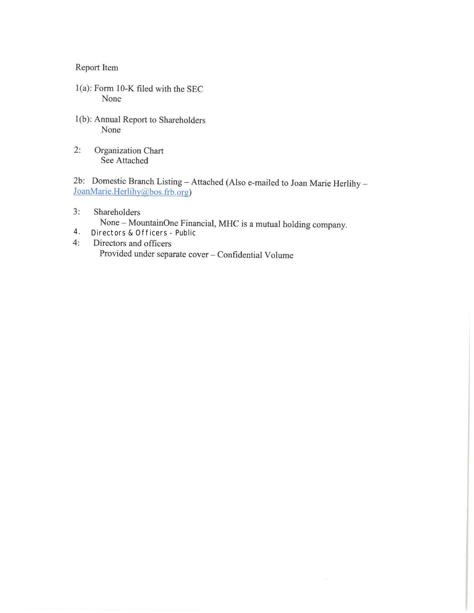Report Item

- 1(a): Form 10-K filed with the SEC None
- 1(b): Annual Report to Shareholders None
- Organization Chart  $2:$ See Attached

2b: Domestic Branch Listing - Attached (Also e-mailed to Joan Marie Herlihy -JoanMarie.Herlihy@bos.frb.org)

 $3:$ Shareholders

None - MountainOne Financial, MHC is a mutual holding company.

- $4.$ Directors & Officers - Public
- $4:$ Directors and officers Provided under separate cover - Confidential Volume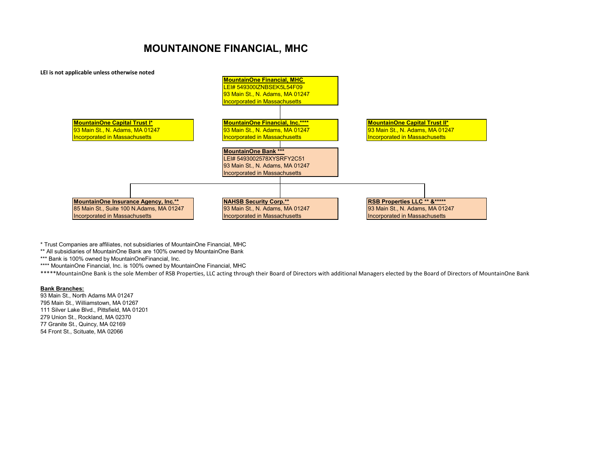# **MOUNTAINONE FINANCIAL, MHC**



\* Trust Companies are affiliates, not subsidiaries of MountainOne Financial, MHC

\*\* All subsidiaries of MountainOne Bank are 100% owned by MountainOne Bank

\*\*\* Bank is 100% owned by MountainOneFinancial, Inc.

\*\*\*\* MountainOne Financial, Inc. is 100% owned by MountainOne Financial, MHC

\*\*\*\*MountainOne Bank is the sole Member of RSB Properties, LLC acting through their Board of Directors with additional Managers elected by the Board of Directors of MountainOne Bank

# **Bank Branches:**

93 Main St., North Adams MA 01247 795 Main St., Williamstown, MA 01267 111 Silver Lake Blvd., Pittsfield, MA 01201 279 Union St., Rockland, MA 02370 77 Granite St., Quincy, MA 02169 54 Front St., Scituate, MA 02066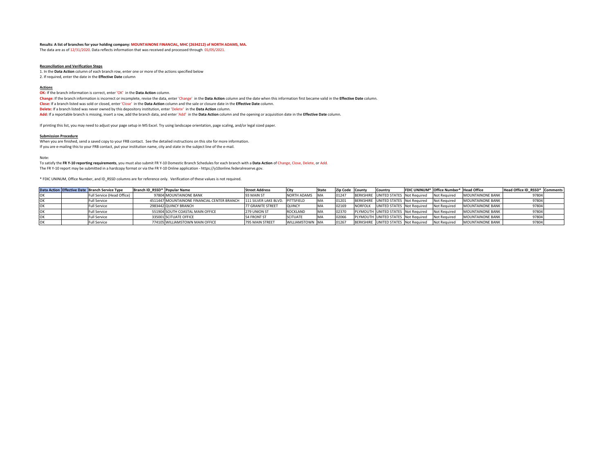#### **Results: A list of branches for your holding company: MOUNTAINONE FINANCIAL, MHC (2634212) of NORTH ADAMS, MA.**

The data are as of 12/31/2020. Data reflects information that was received and processed through 01/05/2021.

### **Reconciliation and Verification Steps**

1. In the **Data Action** column of each branch row, enter one or more of the actions specified below

2. If required, enter the date in the **Effective Date** column

#### **Actions**

**OK:** If the branch information is correct, enter 'OK' in the **Data Action** column. **Change:** If the branch information is incorrect or incomplete, revise the data, enter 'Change' in the **Data Action** column and the date when this information first became valid in the **Effective Date** column. **Close:** If a branch listed was sold or closed, enter 'Close' in the **Data Action** column and the sale or closure date in the **Effective Date** column. **Delete:** If a branch listed was never owned by this depository institution, enter 'Delete' in the **Data Action** column. **Add:** If a reportable branch is missing, insert a row, add the branch data, and enter 'Add' in the **Data Action** column and the opening or acquisition date in the **Effective Date** column.

If printing this list, you may need to adjust your page setup in MS Excel. Try using landscape orientation, page scaling, and/or legal sized paper.

#### **Submission Procedure**

When you are finished, send a saved copy to your FRB contact. See the detailed instructions on this site for more information. If you are e-mailing this to your FRB contact, put your institution name, city and state in the subject line of the e-mail.

Note:

To satisfy the **FR Y-10 reporting requirements**, you must also submit FR Y-10 Domestic Branch Schedules for each branch with a **Data Action** of Change, Close, Delete, or Add. The FR Y-10 report may be submitted in a hardcopy format or via the FR Y-10 Online application - https://y10online.federalreserve.gov.

\* FDIC UNINUM, Office Number, and ID\_RSSD columns are for reference only. Verification of these values is not required.

|  | Data Action Effective Date Branch Service Type | Branch ID RSSD* Popular Name |                                             | <b>Street Address</b>            |                        | State      | Zip Code County | <b>Country</b>                       | FDIC UNINUM* Office Number* Head Office |                         | Head Office ID RSSD* Comments |  |
|--|------------------------------------------------|------------------------------|---------------------------------------------|----------------------------------|------------------------|------------|-----------------|--------------------------------------|-----------------------------------------|-------------------------|-------------------------------|--|
|  | Full Service (Head Office)                     |                              | 97804 MOUNTAINONE BANK                      | 93 MAIN ST                       | NORTH ADAMS MA         |            | 01247           | BERKSHIRE UNITED STATES Not Required | Not Required                            | <b>MOUNTAINONE BANK</b> | 97804                         |  |
|  | ull Service <sup>:</sup>                       |                              | 4511447 MOUNTAINONE FINANCIAL CENTER BRANCH | 111 SILVER LAKE BLVD. PITTSFIELD |                        | <b>IMA</b> | 01201           | BERKSHIRE UNITED STATES Not Required | Not Required                            | <b>MOUNTAINONE BANK</b> | 97804                         |  |
|  | ull Service                                    |                              | 2983442 QUINCY BRANCH                       | <b>77 GRANITE STREET</b>         | <b>QUINCY</b>          |            | 02169           | NORFOLK UNITED STATES Not Required   | Not Required                            | <b>MOUNTAINONE BANK</b> | 97804                         |  |
|  | Full Service                                   |                              | 551904 SOUTH COASTAL MAIN OFFICE            | 279 UNION ST                     | <b>ROCKLAND</b>        | <b>IMA</b> | 02370           | PLYMOUTH UNITED STATES Not Required  | Not Required                            | <b>MOUNTAINONE BANK</b> | 97804                         |  |
|  | Full Service                                   |                              | 335001 SCITUATE OFFICE                      | 54 FRONT ST                      | <b>SCITUATE</b>        | <b>IMA</b> | 72066           | PLYMOUTH UNITED STATES Not Required  | Not Required                            | <b>MOUNTAINONE BANK</b> |                               |  |
|  | ull Service                                    |                              | 774105 WILLIAMSTOWN MAIN OFFICE             | 795 MAIN STREET                  | <b>WILLIAMSTOWN MA</b> |            | 01267           | BERKSHIRE UNITED STATES Not Required | <b>Not Required</b>                     | <b>MOUNTAINONE BANK</b> | 97804                         |  |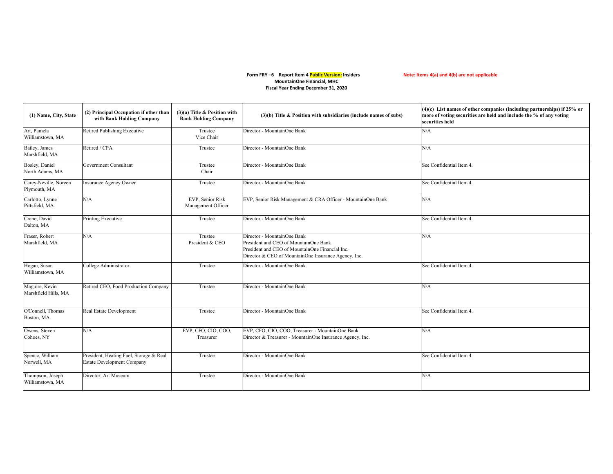## Form FRY –6 Report Item 4 Public Version: Insiders **Note: Items 4(a) and 4(b) are not applicable MountainOne Financial, MHC Fiscal Year Ending December 31, 2020**

| (1) Name, City, State                  | (2) Principal Occupation if other than<br>with Bank Holding Company          | $(3)(a)$ Title & Position with<br><b>Bank Holding Company</b> | $(3)(b)$ Title & Position with subsidiaries (include names of subs)                                                                                                             | $(4)(c)$ List names of other companies (including partnerships) if 25% or<br>more of voting securities are held and include the % of any voting<br>securities held |
|----------------------------------------|------------------------------------------------------------------------------|---------------------------------------------------------------|---------------------------------------------------------------------------------------------------------------------------------------------------------------------------------|--------------------------------------------------------------------------------------------------------------------------------------------------------------------|
| Art, Pamela<br>Williamstown, MA        | <b>Retired Publishing Executive</b>                                          | Trustee<br>Vice Chair                                         | Director - MountainOne Bank                                                                                                                                                     | N/A                                                                                                                                                                |
| Bailey, James<br>Marshfield, MA        | Retired / CPA                                                                | Trustee                                                       | Director - MountainOne Bank                                                                                                                                                     | N/A                                                                                                                                                                |
| Bosley, Daniel<br>North Adams, MA      | Government Consultant                                                        | Trustee<br>Chair                                              | Director - MountainOne Bank                                                                                                                                                     | See Confidential Item 4.                                                                                                                                           |
| Carey-Neville, Noreen<br>Plymouth, MA  | Insurance Agency Owner                                                       | Trustee                                                       | Director - MountainOne Bank                                                                                                                                                     | See Confidential Item 4.                                                                                                                                           |
| Carlotto, Lynne<br>Pittsfield, MA      | N/A                                                                          | EVP, Senior Risk<br>Management Officer                        | EVP, Senior Risk Management & CRA Officer - MountainOne Bank                                                                                                                    | N/A                                                                                                                                                                |
| Crane, David<br>Dalton, MA             | Printing Executive                                                           | Trustee                                                       | Director - MountainOne Bank                                                                                                                                                     | See Confidential Item 4.                                                                                                                                           |
| Fraser, Robert<br>Marshfield, MA       | N/A                                                                          | Trustee<br>President & CEO                                    | Director - MountainOne Bank<br>President and CEO of MountainOne Bank<br>President and CEO of MountainOne Financial Inc.<br>Director & CEO of MountainOne Insurance Agency, Inc. | N/A                                                                                                                                                                |
| Hogan, Susan<br>Williamstown, MA       | College Administrator                                                        | Trustee                                                       | Director - MountainOne Bank                                                                                                                                                     | See Confidential Item 4.                                                                                                                                           |
| Maguire, Kevin<br>Marshfield Hills, MA | Retired CEO, Food Production Company                                         | Trustee                                                       | Director - MountainOne Bank                                                                                                                                                     | N/A                                                                                                                                                                |
| O'Connell, Thomas<br>Boston, MA        | Real Estate Development                                                      | Trustee                                                       | Director - MountainOne Bank                                                                                                                                                     | See Confidential Item 4.                                                                                                                                           |
| Owens, Steven<br>Cohoes, NY            | N/A                                                                          | EVP, CFO, CIO, COO,<br>Treasurer                              | EVP, CFO, CIO, COO, Treasurer - MountainOne Bank<br>Director & Treasurer - MountainOne Insurance Agency, Inc.                                                                   | N/A                                                                                                                                                                |
| Spence, William<br>Norwell, MA         | President, Heating Fuel, Storage & Real<br><b>Estate Development Company</b> | Trustee                                                       | Director - MountainOne Bank                                                                                                                                                     | See Confidential Item 4.                                                                                                                                           |
| Thompson, Joseph<br>Williamstown, MA   | Director, Art Museum                                                         | Trustee                                                       | Director - MountainOne Bank                                                                                                                                                     | N/A                                                                                                                                                                |